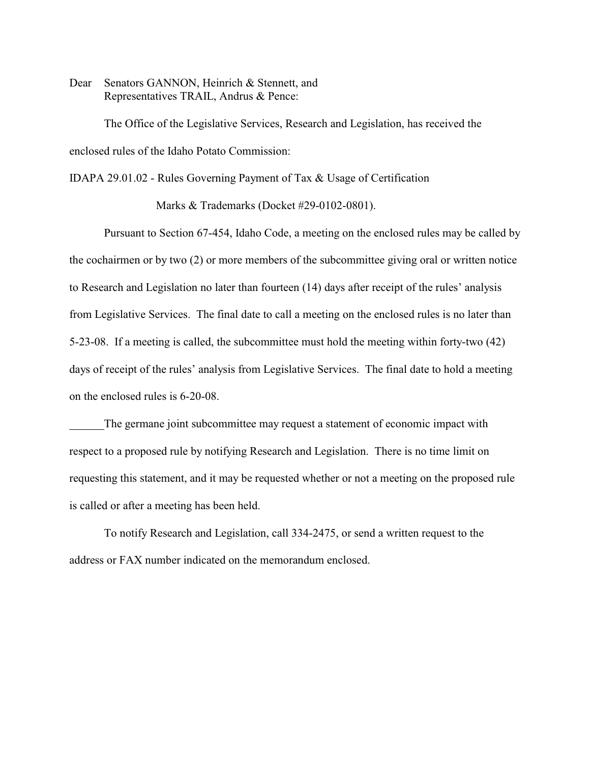Dear Senators GANNON, Heinrich & Stennett, and Representatives TRAIL, Andrus & Pence:

The Office of the Legislative Services, Research and Legislation, has received the enclosed rules of the Idaho Potato Commission:

IDAPA 29.01.02 - Rules Governing Payment of Tax & Usage of Certification

Marks & Trademarks (Docket #29-0102-0801).

Pursuant to Section 67-454, Idaho Code, a meeting on the enclosed rules may be called by the cochairmen or by two (2) or more members of the subcommittee giving oral or written notice to Research and Legislation no later than fourteen (14) days after receipt of the rules' analysis from Legislative Services. The final date to call a meeting on the enclosed rules is no later than 5-23-08. If a meeting is called, the subcommittee must hold the meeting within forty-two (42) days of receipt of the rules' analysis from Legislative Services. The final date to hold a meeting on the enclosed rules is 6-20-08.

The germane joint subcommittee may request a statement of economic impact with respect to a proposed rule by notifying Research and Legislation. There is no time limit on requesting this statement, and it may be requested whether or not a meeting on the proposed rule is called or after a meeting has been held.

To notify Research and Legislation, call 334-2475, or send a written request to the address or FAX number indicated on the memorandum enclosed.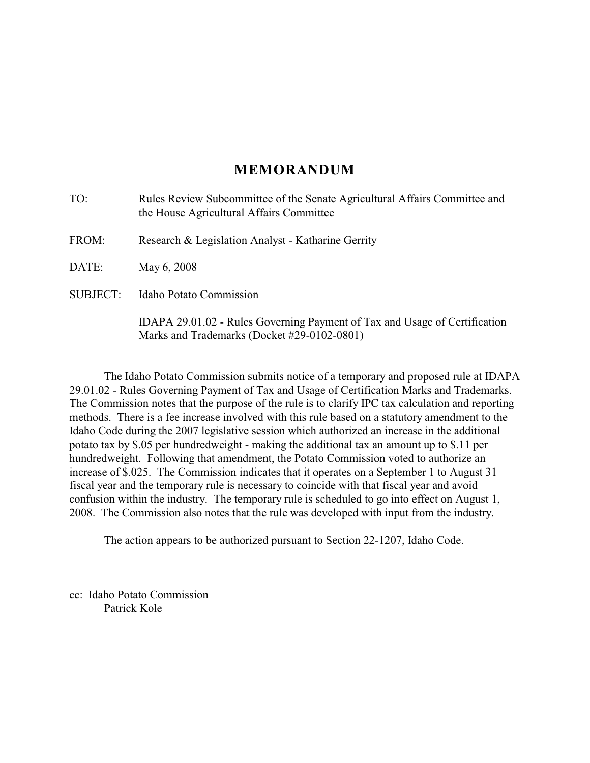# **MEMORANDUM**

| TO:             | Rules Review Subcommittee of the Senate Agricultural Affairs Committee and<br>the House Agricultural Affairs Committee    |
|-----------------|---------------------------------------------------------------------------------------------------------------------------|
| FROM:           | Research & Legislation Analyst - Katharine Gerrity                                                                        |
| DATE:           | May 6, 2008                                                                                                               |
| <b>SUBJECT:</b> | <b>Idaho Potato Commission</b>                                                                                            |
|                 | IDAPA 29.01.02 - Rules Governing Payment of Tax and Usage of Certification<br>Marks and Trademarks (Docket #29-0102-0801) |

The Idaho Potato Commission submits notice of a temporary and proposed rule at IDAPA 29.01.02 - Rules Governing Payment of Tax and Usage of Certification Marks and Trademarks. The Commission notes that the purpose of the rule is to clarify IPC tax calculation and reporting methods. There is a fee increase involved with this rule based on a statutory amendment to the Idaho Code during the 2007 legislative session which authorized an increase in the additional potato tax by \$.05 per hundredweight - making the additional tax an amount up to \$.11 per hundredweight. Following that amendment, the Potato Commission voted to authorize an increase of \$.025. The Commission indicates that it operates on a September 1 to August 31 fiscal year and the temporary rule is necessary to coincide with that fiscal year and avoid confusion within the industry. The temporary rule is scheduled to go into effect on August 1, 2008. The Commission also notes that the rule was developed with input from the industry.

The action appears to be authorized pursuant to Section 22-1207, Idaho Code.

cc: Idaho Potato Commission Patrick Kole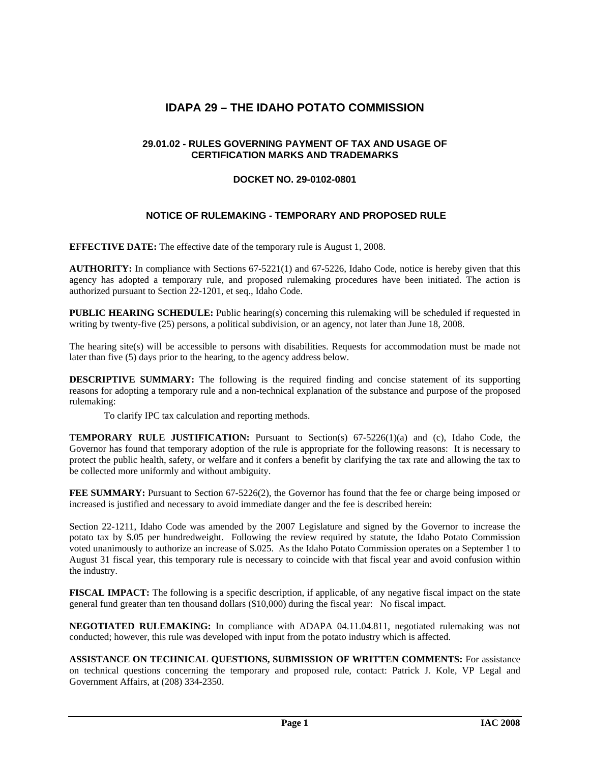## **IDAPA 29 – THE IDAHO POTATO COMMISSION**

## **29.01.02 - RULES GOVERNING PAYMENT OF TAX AND USAGE OF CERTIFICATION MARKS AND TRADEMARKS**

## **DOCKET NO. 29-0102-0801**

## **NOTICE OF RULEMAKING - TEMPORARY AND PROPOSED RULE**

**EFFECTIVE DATE:** The effective date of the temporary rule is August 1, 2008.

**AUTHORITY:** In compliance with Sections 67-5221(1) and 67-5226, Idaho Code, notice is hereby given that this agency has adopted a temporary rule, and proposed rulemaking procedures have been initiated. The action is authorized pursuant to Section 22-1201, et seq., Idaho Code.

**PUBLIC HEARING SCHEDULE:** Public hearing(s) concerning this rulemaking will be scheduled if requested in writing by twenty-five (25) persons, a political subdivision, or an agency, not later than June 18, 2008.

The hearing site(s) will be accessible to persons with disabilities. Requests for accommodation must be made not later than five (5) days prior to the hearing, to the agency address below.

**DESCRIPTIVE SUMMARY:** The following is the required finding and concise statement of its supporting reasons for adopting a temporary rule and a non-technical explanation of the substance and purpose of the proposed rulemaking:

To clarify IPC tax calculation and reporting methods.

**TEMPORARY RULE JUSTIFICATION:** Pursuant to Section(s) 67-5226(1)(a) and (c), Idaho Code, the Governor has found that temporary adoption of the rule is appropriate for the following reasons: It is necessary to protect the public health, safety, or welfare and it confers a benefit by clarifying the tax rate and allowing the tax to be collected more uniformly and without ambiguity.

**FEE SUMMARY:** Pursuant to Section 67-5226(2), the Governor has found that the fee or charge being imposed or increased is justified and necessary to avoid immediate danger and the fee is described herein:

Section 22-1211, Idaho Code was amended by the 2007 Legislature and signed by the Governor to increase the potato tax by \$.05 per hundredweight. Following the review required by statute, the Idaho Potato Commission voted unanimously to authorize an increase of \$.025. As the Idaho Potato Commission operates on a September 1 to August 31 fiscal year, this temporary rule is necessary to coincide with that fiscal year and avoid confusion within the industry.

**FISCAL IMPACT:** The following is a specific description, if applicable, of any negative fiscal impact on the state general fund greater than ten thousand dollars (\$10,000) during the fiscal year: No fiscal impact.

**NEGOTIATED RULEMAKING:** In compliance with ADAPA 04.11.04.811, negotiated rulemaking was not conducted; however, this rule was developed with input from the potato industry which is affected.

**ASSISTANCE ON TECHNICAL QUESTIONS, SUBMISSION OF WRITTEN COMMENTS:** For assistance on technical questions concerning the temporary and proposed rule, contact: Patrick J. Kole, VP Legal and Government Affairs, at (208) 334-2350.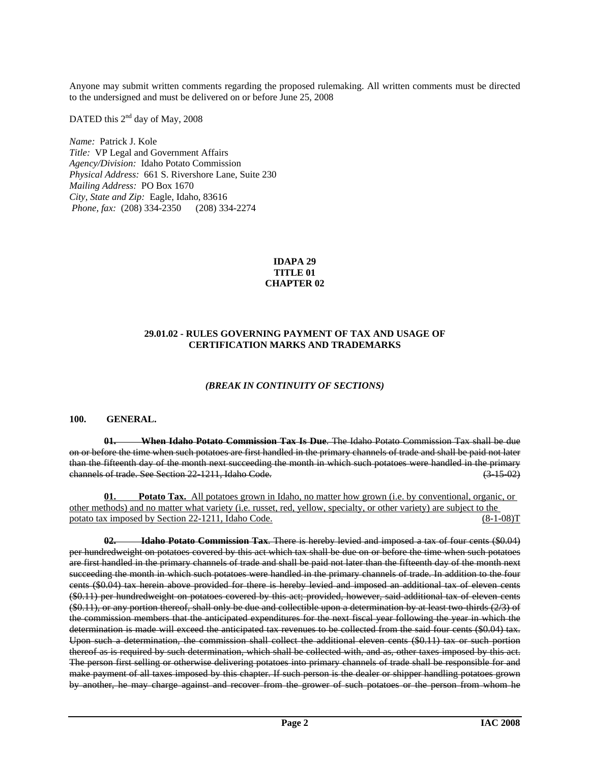Anyone may submit written comments regarding the proposed rulemaking. All written comments must be directed to the undersigned and must be delivered on or before June 25, 2008

DATED this 2<sup>nd</sup> day of May, 2008

*Name:* Patrick J. Kole *Title:* VP Legal and Government Affairs *Agency/Division:* Idaho Potato Commission *Physical Address:* 661 S. Rivershore Lane, Suite 230 *Mailing Address:* PO Box 1670 *City, State and Zip:* Eagle, Idaho, 83616  *Phone, fax:* (208) 334-2350 (208) 334-2274

#### **IDAPA 29 TITLE 01 CHAPTER 02**

## **29.01.02 - RULES GOVERNING PAYMENT OF TAX AND USAGE OF CERTIFICATION MARKS AND TRADEMARKS**

#### *(BREAK IN CONTINUITY OF SECTIONS)*

#### **100. GENERAL.**

 **01. When Idaho Potato Commission Tax Is Due**. The Idaho Potato Commission Tax shall be due on or before the time when such potatoes are first handled in the primary channels of trade and shall be paid not later than the fifteenth day of the month next succeeding the month in which such potatoes were handled in the primary channels of trade. See Section 22-1211, Idaho Code. (3-15-02)

**01.** Potato Tax. All potatoes grown in Idaho, no matter how grown (i.e. by conventional, organic, or other methods) and no matter what variety (i.e. russet, red, yellow, specialty, or other variety) are subject to the potato tax imposed by Section 22-1211, Idaho Code. (8-1-08)T

 **02. Idaho Potato Commission Tax**. There is hereby levied and imposed a tax of four cents (\$0.04) per hundredweight on potatoes covered by this act which tax shall be due on or before the time when such potatoes are first handled in the primary channels of trade and shall be paid not later than the fifteenth day of the month next succeeding the month in which such potatoes were handled in the primary channels of trade. In addition to the four cents (\$0.04) tax herein above provided for there is hereby levied and imposed an additional tax of eleven cents (\$0.11) per hundredweight on potatoes covered by this act; provided, however, said additional tax of eleven cents (\$0.11), or any portion thereof, shall only be due and collectible upon a determination by at least two-thirds (2/3) of the commission members that the anticipated expenditures for the next fiscal year following the year in which the determination is made will exceed the anticipated tax revenues to be collected from the said four cents (\$0.04) tax. Upon such a determination, the commission shall collect the additional eleven cents (\$0.11) tax or such portion thereof as is required by such determination, which shall be collected with, and as, other taxes imposed by this act. The person first selling or otherwise delivering potatoes into primary channels of trade shall be responsible for and make payment of all taxes imposed by this chapter. If such person is the dealer or shipper handling potatoes grown by another, he may charge against and recover from the grower of such potatoes or the person from whom he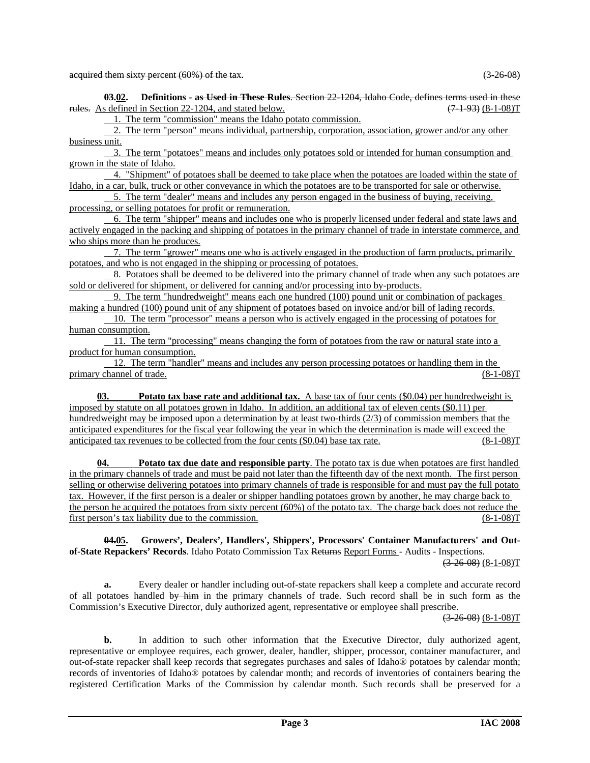**03.02. Definitions - as Used in These Rules**. Section 22-1204, Idaho Code, defines terms used in these rules. As defined in Section 22-1204, and stated below.  $(7.1-93)$  (8-1-08)T

1. The term "commission" means the Idaho potato commission.

 2. The term "person" means individual, partnership, corporation, association, grower and/or any other business unit.

 3. The term "potatoes" means and includes only potatoes sold or intended for human consumption and grown in the state of Idaho.

 4. "Shipment" of potatoes shall be deemed to take place when the potatoes are loaded within the state of Idaho, in a car, bulk, truck or other conveyance in which the potatoes are to be transported for sale or otherwise.

 5. The term "dealer" means and includes any person engaged in the business of buying, receiving, processing, or selling potatoes for profit or remuneration.

 6. The term "shipper" means and includes one who is properly licensed under federal and state laws and actively engaged in the packing and shipping of potatoes in the primary channel of trade in interstate commerce, and who ships more than he produces.

 7. The term "grower" means one who is actively engaged in the production of farm products, primarily potatoes, and who is not engaged in the shipping or processing of potatoes.

 8. Potatoes shall be deemed to be delivered into the primary channel of trade when any such potatoes are sold or delivered for shipment, or delivered for canning and/or processing into by-products.

 9. The term "hundredweight" means each one hundred (100) pound unit or combination of packages making a hundred (100) pound unit of any shipment of potatoes based on invoice and/or bill of lading records.

 10. The term "processor" means a person who is actively engaged in the processing of potatoes for human consumption.

 11. The term "processing" means changing the form of potatoes from the raw or natural state into a product for human consumption.

 12. The term "handler" means and includes any person processing potatoes or handling them in the primary channel of trade. (8-1-08)T

**03. Potato tax base rate and additional tax.** A base tax of four cents (\$0.04) per hundredweight is imposed by statute on all potatoes grown in Idaho. In addition, an additional tax of eleven cents (\$0.11) per hundredweight may be imposed upon a determination by at least two-thirds (2/3) of commission members that the anticipated expenditures for the fiscal year following the year in which the determination is made will exceed the anticipated tax revenues to be collected from the four cents  $(\$0.04)$  base tax rate.  $(8-1-08)T$ 

**04. Potato tax due date and responsible party**. The potato tax is due when potatoes are first handled in the primary channels of trade and must be paid not later than the fifteenth day of the next month. The first person selling or otherwise delivering potatoes into primary channels of trade is responsible for and must pay the full potato tax. However, if the first person is a dealer or shipper handling potatoes grown by another, he may charge back to the person he acquired the potatoes from sixty percent (60%) of the potato tax. The charge back does not reduce the first person's tax liability due to the commission. (8-1-08)T

 **04.05. Growers', Dealers', Handlers', Shippers', Processors' Container Manufacturers' and Outof-State Repackers' Records**. Idaho Potato Commission Tax Returns Report Forms - Audits - Inspections.

 $(3-26-08)$   $(8-1-08)$ T

**a.** Every dealer or handler including out-of-state repackers shall keep a complete and accurate record of all potatoes handled by him in the primary channels of trade. Such record shall be in such form as the Commission's Executive Director, duly authorized agent, representative or employee shall prescribe.

 $(3-26-08)$   $(8-1-08)$ T

**b.** In addition to such other information that the Executive Director, duly authorized agent, representative or employee requires, each grower, dealer, handler, shipper, processor, container manufacturer, and out-of-state repacker shall keep records that segregates purchases and sales of Idaho® potatoes by calendar month; records of inventories of Idaho® potatoes by calendar month; and records of inventories of containers bearing the registered Certification Marks of the Commission by calendar month. Such records shall be preserved for a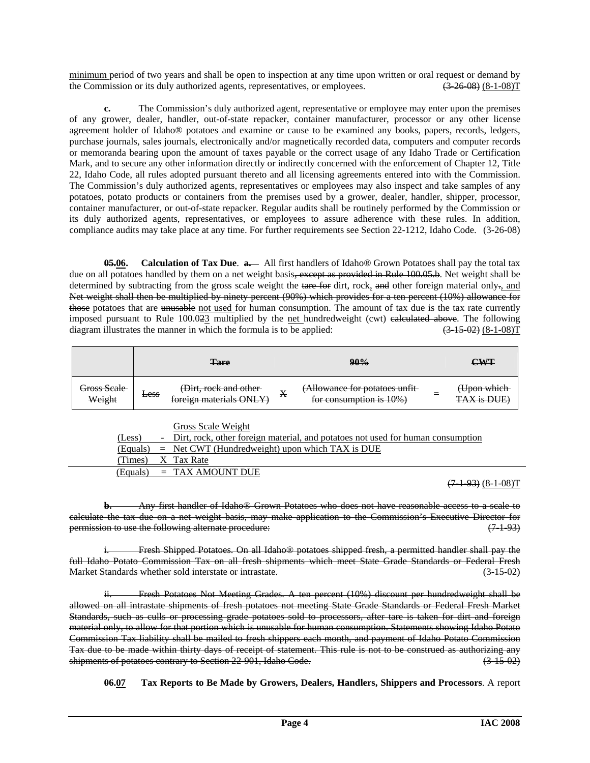minimum period of two years and shall be open to inspection at any time upon written or oral request or demand by the Commission or its duly authorized agents, representatives, or employees.  $(3-26-08) (8-1-08)T$ 

**c.** The Commission's duly authorized agent, representative or employee may enter upon the premises of any grower, dealer, handler, out-of-state repacker, container manufacturer, processor or any other license agreement holder of Idaho® potatoes and examine or cause to be examined any books, papers, records, ledgers, purchase journals, sales journals, electronically and/or magnetically recorded data, computers and computer records or memoranda bearing upon the amount of taxes payable or the correct usage of any Idaho Trade or Certification Mark, and to secure any other information directly or indirectly concerned with the enforcement of Chapter 12, Title 22, Idaho Code, all rules adopted pursuant thereto and all licensing agreements entered into with the Commission. The Commission's duly authorized agents, representatives or employees may also inspect and take samples of any potatoes, potato products or containers from the premises used by a grower, dealer, handler, shipper, processor, container manufacturer, or out-of-state repacker. Regular audits shall be routinely performed by the Commission or its duly authorized agents, representatives, or employees to assure adherence with these rules. In addition, compliance audits may take place at any time. For further requirements see Section 22-1212, Idaho Code. (3-26-08)

**05.06.** Calculation of Tax Due. **a.** All first handlers of Idaho<sup>®</sup> Grown Potatoes shall pay the total tax due on all potatoes handled by them on a net weight basis, except as provided in Rule 100.05.b. Net weight shall be determined by subtracting from the gross scale weight the tare for dirt, rock, and other foreign material only-, and Net weight shall then be multiplied by ninety percent (90%) which provides for a ten percent (10%) allowance for those potatoes that are unusable not used for human consumption. The amount of tax due is the tax rate currently imposed pursuant to Rule 100.023 multiplied by the net hundredweight (cwt) calculated above. The following diagram illustrates the manner in which the formula is to be applied:  $(3\quad15.02)$   $(8-1-08)$ T

|                       | Tare                                                                                                                       | 90%                                                                                                      |   | <b>CWT</b>                               |
|-----------------------|----------------------------------------------------------------------------------------------------------------------------|----------------------------------------------------------------------------------------------------------|---|------------------------------------------|
| Gross Scale<br>Weight | (Dirt, rock and other-<br><b>Less</b><br>$for a$ ion materials $\bigcap \overline{M}$<br><del>MURIER MARTINO VI 12 F</del> | (Allowance for potatoes unfit<br>x<br>$for concomption$ is $10\%)$<br><del>roi consumption is 1070</del> | = | (Upon which<br>TAV is DHE<br>17XX 15 DUE |

|        | Gross Scale Weight                                                                |
|--------|-----------------------------------------------------------------------------------|
| (Less) | - Dirt, rock, other foreign material, and potatoes not used for human consumption |
|        | (Equals) $=$ Net CWT (Hundredweight) upon which TAX is DUE                        |
|        | (Times) X Tax Rate                                                                |
|        | $(Equals) = TAX AMOUNT DUE$                                                       |

 $(7-1-93)$   $(8-1-08)$ T

**b.** Any first handler of Idaho® Grown Potatoes who does not have reasonable access to a scale to calculate the tax due on a net weight basis, may make application to the Commission's Executive Director for permission to use the following alternate procedure: (7.1.93)

Fresh Shipped Potatoes. On all Idaho® potatoes shipped fresh, a permitted handler shall pay the full Idaho Potato Commission Tax on all fresh shipments which meet State Grade Standards or Federal Fresh Market Standards whether sold interstate or intrastate. (3-15-02)

 ii. Fresh Potatoes Not Meeting Grades. A ten percent (10%) discount per hundredweight shall be allowed on all intrastate shipments of fresh potatoes not meeting State Grade Standards or Federal Fresh Market Standards, such as culls or processing grade potatoes sold to processors, after tare is taken for dirt and foreign material only, to allow for that portion which is unusable for human consumption. Statements showing Idaho Potato Commission Tax liability shall be mailed to fresh shippers each month, and payment of Idaho Potato Commission Tax due to be made within thirty days of receipt of statement. This rule is not to be construed as authorizing any shipments of potatoes contrary to Section 22-901, Idaho Code. (3-15-02)

 **06.07 Tax Reports to Be Made by Growers, Dealers, Handlers, Shippers and Processors**. A report